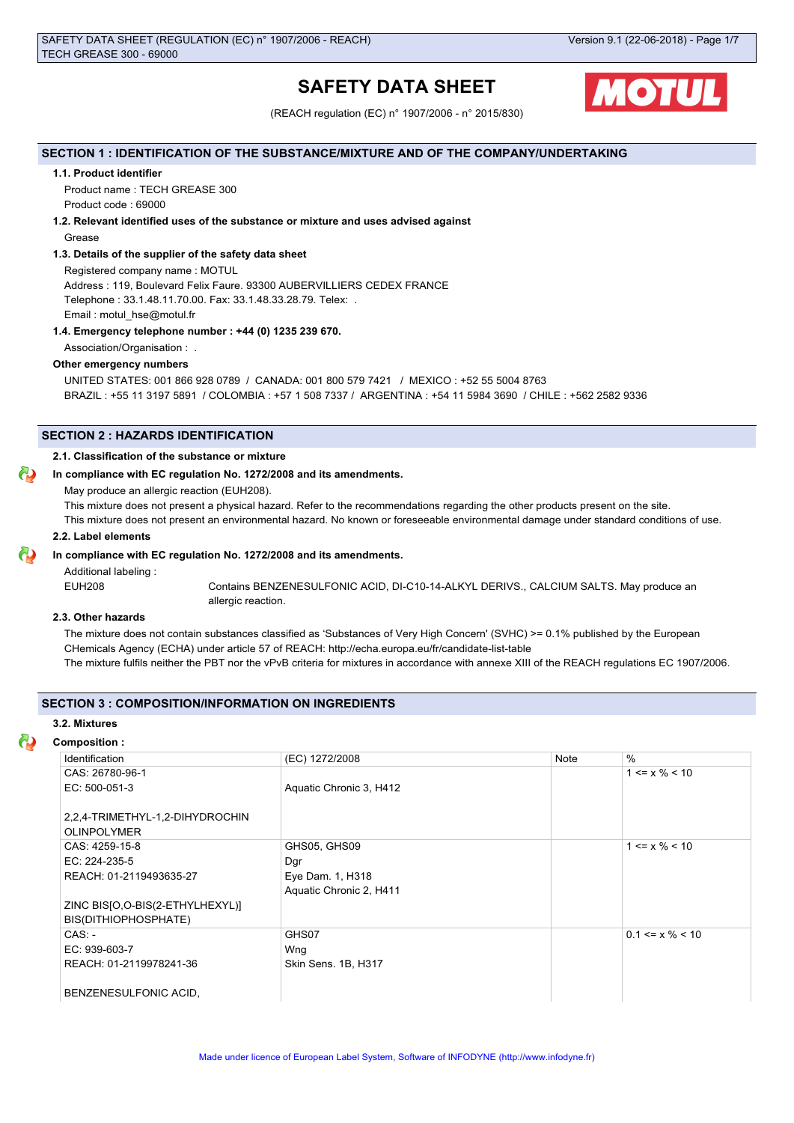# **SAFETY DATA SHEET**



(REACH regulation (EC) n° 1907/2006 - n° 2015/830)

## **SECTION 1 : IDENTIFICATION OF THE SUBSTANCE/MIXTURE AND OF THE COMPANY/UNDERTAKING**

## **1.1. Product identifier**

Product name : TECH GREASE 300 Product code : 69000

## **1.2. Relevant identified uses of the substance or mixture and uses advised against**

Grease

### **1.3. Details of the supplier of the safety data sheet**

Registered company name : MOTUL

Address : 119, Boulevard Felix Faure. 93300 AUBERVILLIERS CEDEX FRANCE Telephone : 33.1.48.11.70.00. Fax: 33.1.48.33.28.79. Telex: . Email : motul\_hse@motul.fr

## **1.4. Emergency telephone number : +44 (0) 1235 239 670.**

Association/Organisation : .

# **Other emergency numbers**

UNITED STATES: 001 866 928 0789 / CANADA: 001 800 579 7421 / MEXICO : +52 55 5004 8763 BRAZIL : +55 11 3197 5891 / COLOMBIA : +57 1 508 7337 / ARGENTINA : +54 11 5984 3690 / CHILE : +562 2582 9336

### **SECTION 2 : HAZARDS IDENTIFICATION**

## **2.1. Classification of the substance or mixture**

### **In compliance with EC regulation No. 1272/2008 and its amendments.**

May produce an allergic reaction (EUH208).

This mixture does not present a physical hazard. Refer to the recommendations regarding the other products present on the site.

This mixture does not present an environmental hazard. No known or foreseeable environmental damage under standard conditions of use.

#### **2.2. Label elements**

## **In compliance with EC regulation No. 1272/2008 and its amendments.**

Additional labeling :

EUH208 Contains BENZENESULFONIC ACID, DI-C10-14-ALKYL DERIVS., CALCIUM SALTS. May produce an allergic reaction.

## **2.3. Other hazards**

The mixture does not contain substances classified as 'Substances of Very High Concern' (SVHC) >= 0.1% published by the European CHemicals Agency (ECHA) under article 57 of REACH: http://echa.europa.eu/fr/candidate-list-table The mixture fulfils neither the PBT nor the vPvB criteria for mixtures in accordance with annexe XIII of the REACH regulations EC 1907/2006.

## **SECTION 3 : COMPOSITION/INFORMATION ON INGREDIENTS**

#### **3.2. Mixtures**

| <b>Composition:</b>              |                         |      |                              |
|----------------------------------|-------------------------|------|------------------------------|
| Identification                   | (EC) 1272/2008          | Note | $\%$                         |
| CAS: 26780-96-1                  |                         |      | $1 \le x \% \le 10$          |
| EC: 500-051-3                    | Aquatic Chronic 3, H412 |      |                              |
| 2,2,4-TRIMETHYL-1,2-DIHYDROCHIN  |                         |      |                              |
| <b>OLINPOLYMER</b>               |                         |      |                              |
| CAS: 4259-15-8                   | GHS05, GHS09            |      | $1 \le x \frac{9}{6} \le 10$ |
| EC: 224-235-5                    | Dgr                     |      |                              |
| REACH: 01-2119493635-27          | Eye Dam. 1, H318        |      |                              |
|                                  | Aquatic Chronic 2, H411 |      |                              |
| ZINC BISJO, O-BIS(2-ETHYLHEXYL)] |                         |      |                              |
| BIS(DITHIOPHOSPHATE)             |                         |      |                              |
| $CAS: -$                         | GHS07                   |      | $0.1 \le x \% \le 10$        |
| EC: 939-603-7                    | Wng                     |      |                              |
| REACH: 01-2119978241-36          | Skin Sens. 1B, H317     |      |                              |
| BENZENESULFONIC ACID,            |                         |      |                              |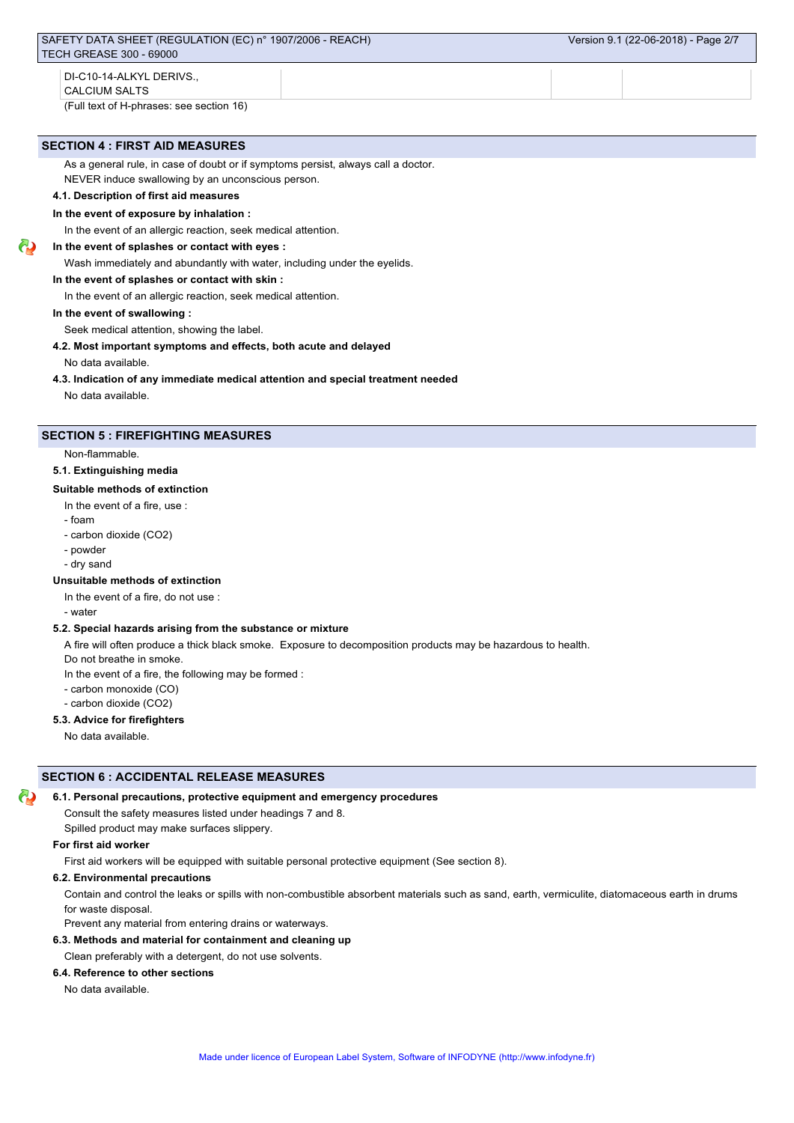## **SECTION 4 : FIRST AID MEASURES**

As a general rule, in case of doubt or if symptoms persist, always call a doctor.

NEVER induce swallowing by an unconscious person.

# **4.1. Description of first aid measures**

# **In the event of exposure by inhalation :**

In the event of an allergic reaction, seek medical attention.

## **In the event of splashes or contact with eyes :**

Wash immediately and abundantly with water, including under the eyelids.

## **In the event of splashes or contact with skin :**

In the event of an allergic reaction, seek medical attention.

## **In the event of swallowing :**

Seek medical attention, showing the label.

### **4.2. Most important symptoms and effects, both acute and delayed**

No data available.

### **4.3. Indication of any immediate medical attention and special treatment needed**

No data available.

## **SECTION 5 : FIREFIGHTING MEASURES**

Non-flammable.

## **5.1. Extinguishing media**

## **Suitable methods of extinction**

- In the event of a fire, use :
- foam
- carbon dioxide (CO2)
- powder
- dry sand

## **Unsuitable methods of extinction**

In the event of a fire, do not use :

- water

## **5.2. Special hazards arising from the substance or mixture**

A fire will often produce a thick black smoke. Exposure to decomposition products may be hazardous to health.

Do not breathe in smoke.

In the event of a fire, the following may be formed :

- carbon monoxide (CO)
- carbon dioxide (CO2)

## **5.3. Advice for firefighters**

No data available.

# **SECTION 6 : ACCIDENTAL RELEASE MEASURES**

## **6.1. Personal precautions, protective equipment and emergency procedures**

Consult the safety measures listed under headings 7 and 8.

Spilled product may make surfaces slippery.

#### **For first aid worker**

First aid workers will be equipped with suitable personal protective equipment (See section 8).

## **6.2. Environmental precautions**

Contain and control the leaks or spills with non-combustible absorbent materials such as sand, earth, vermiculite, diatomaceous earth in drums for waste disposal.

Prevent any material from entering drains or waterways.

## **6.3. Methods and material for containment and cleaning up**

Clean preferably with a detergent, do not use solvents.

## **6.4. Reference to other sections**

No data available.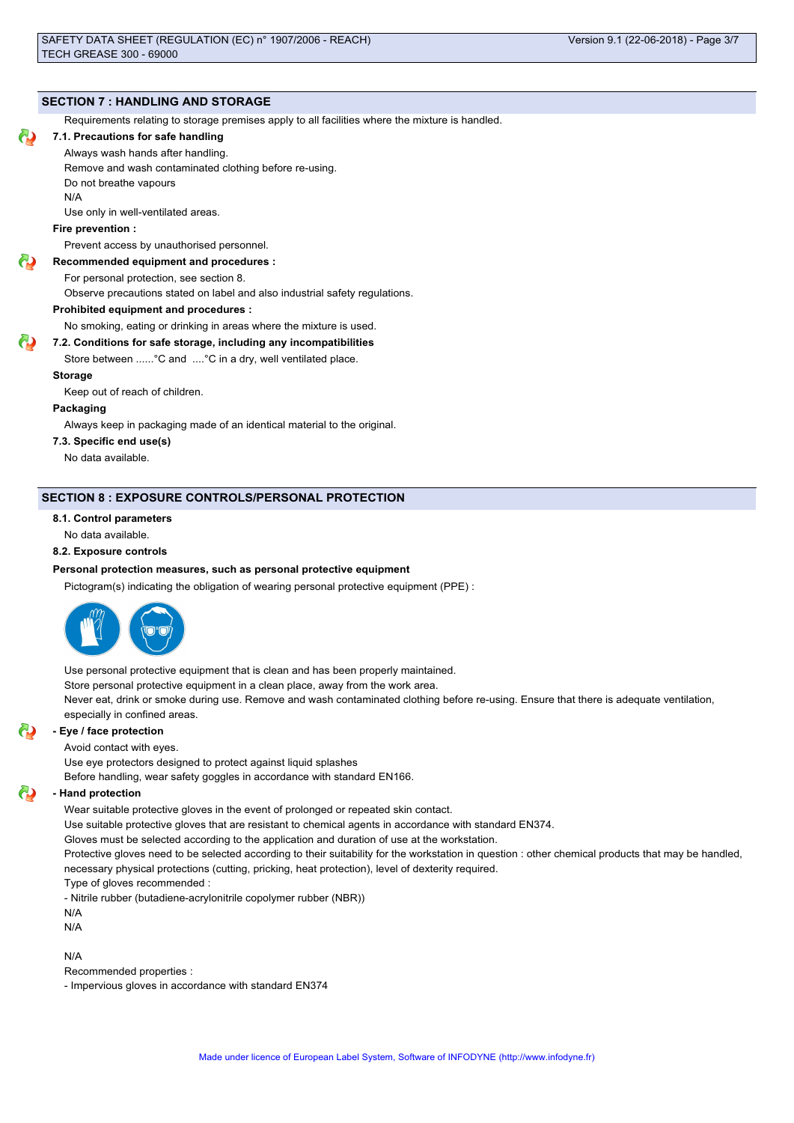## **SECTION 7 : HANDLING AND STORAGE**

Requirements relating to storage premises apply to all facilities where the mixture is handled.

#### **7.1. Precautions for safe handling**

Always wash hands after handling.

Remove and wash contaminated clothing before re-using.

Do not breathe vapours

Use only in well-ventilated areas.

N/A

#### **Fire prevention :**

Prevent access by unauthorised personnel.

## **Recommended equipment and procedures :**

For personal protection, see section 8.

Observe precautions stated on label and also industrial safety regulations.

#### **Prohibited equipment and procedures :**

No smoking, eating or drinking in areas where the mixture is used.

#### **7.2. Conditions for safe storage, including any incompatibilities**

Store between ......°C and ....°C in a dry, well ventilated place.

#### **Storage**

Keep out of reach of children.

#### **Packaging**

Always keep in packaging made of an identical material to the original.

#### **7.3. Specific end use(s)**

No data available.

## **SECTION 8 : EXPOSURE CONTROLS/PERSONAL PROTECTION**

#### **8.1. Control parameters**

No data available.

#### **8.2. Exposure controls**

#### **Personal protection measures, such as personal protective equipment**

Pictogram(s) indicating the obligation of wearing personal protective equipment (PPE) :



Use personal protective equipment that is clean and has been properly maintained. Store personal protective equipment in a clean place, away from the work area. Never eat, drink or smoke during use. Remove and wash contaminated clothing before re-using. Ensure that there is adequate ventilation, especially in confined areas.

#### **- Eye / face protection**

Avoid contact with eyes.

Use eye protectors designed to protect against liquid splashes

Before handling, wear safety goggles in accordance with standard EN166.

#### **- Hand protection**

Wear suitable protective gloves in the event of prolonged or repeated skin contact.

Use suitable protective gloves that are resistant to chemical agents in accordance with standard EN374.

Gloves must be selected according to the application and duration of use at the workstation.

Protective gloves need to be selected according to their suitability for the workstation in question : other chemical products that may be handled, necessary physical protections (cutting, pricking, heat protection), level of dexterity required.

Type of gloves recommended :

- Nitrile rubber (butadiene-acrylonitrile copolymer rubber (NBR))

N/A

N/A

#### N/A

Recommended properties :

- Impervious gloves in accordance with standard EN374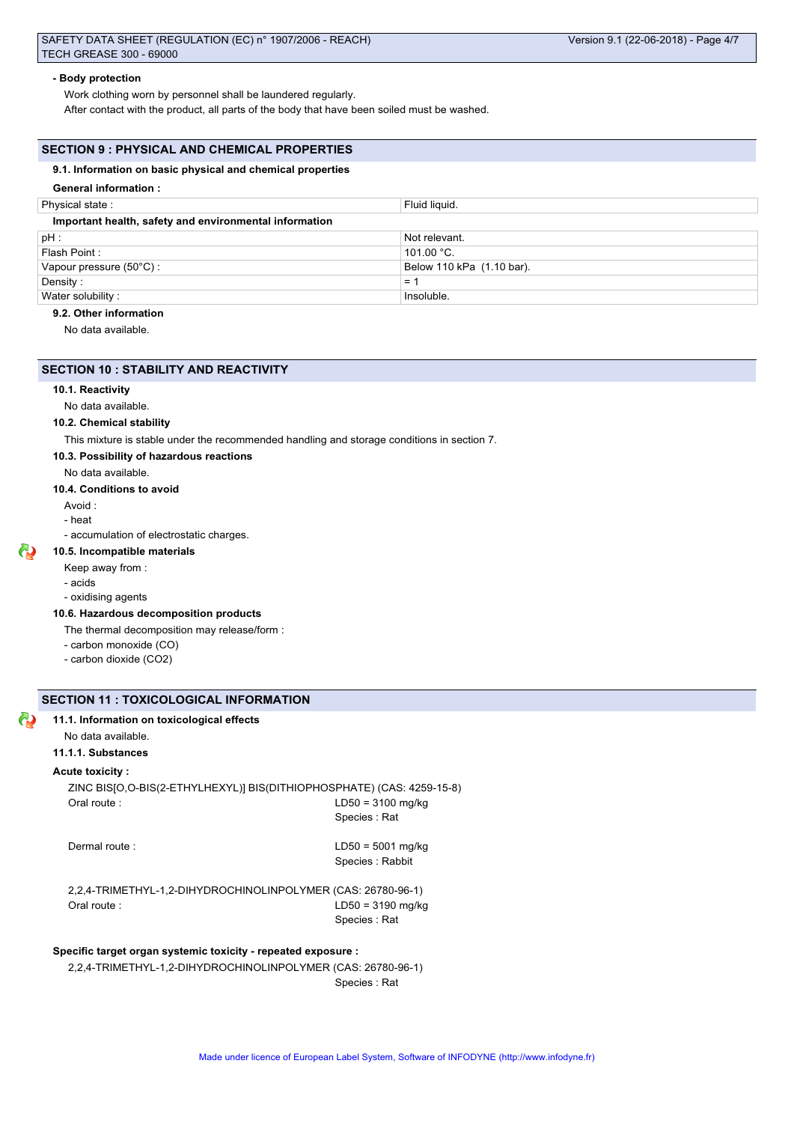#### **- Body protection**

Work clothing worn by personnel shall be laundered regularly.

After contact with the product, all parts of the body that have been soiled must be washed.

## **SECTION 9 : PHYSICAL AND CHEMICAL PROPERTIES**

## **9.1. Information on basic physical and chemical properties**

#### **General information :**

| Physical state:                                        | Fluid liquid.             |  |
|--------------------------------------------------------|---------------------------|--|
| Important health, safety and environmental information |                           |  |
| $pH$ :                                                 | Not relevant.             |  |
| Flash Point:                                           | 101.00 $^{\circ}$ C.      |  |
| Vapour pressure (50°C) :                               | Below 110 kPa (1.10 bar). |  |
| Density:                                               | $=$                       |  |
| Water solubility:                                      | Insoluble.                |  |

#### **9.2. Other information**

No data available.

#### **SECTION 10 : STABILITY AND REACTIVITY**

#### **10.1. Reactivity**

No data available.

#### **10.2. Chemical stability**

This mixture is stable under the recommended handling and storage conditions in section 7.

- **10.3. Possibility of hazardous reactions**
	- No data available.

#### **10.4. Conditions to avoid**

- Avoid :
- heat
- accumulation of electrostatic charges.

#### **10.5. Incompatible materials**

- Keep away from :
- 
- oxidising agents

#### **10.6. Hazardous decomposition products**

- The thermal decomposition may release/form :
- carbon monoxide (CO)
- carbon dioxide (CO2)

## **SECTION 11 : TOXICOLOGICAL INFORMATION**

## **11.1. Information on toxicological effects**

## No data available.

## **11.1.1. Substances**

#### **Acute toxicity :**

ZINC BIS[O,O-BIS(2-ETHYLHEXYL)] BIS(DITHIOPHOSPHATE) (CAS: 4259-15-8) Oral route : LD50 = 3100 mg/kg Species : Rat

Dermal route : LD50 = 5001 mg/kg Species : Rabbit

2,2,4-TRIMETHYL-1,2-DIHYDROCHINOLINPOLYMER (CAS: 26780-96-1) Oral route : LD50 = 3190 mg/kg Species : Rat

## **Specific target organ systemic toxicity - repeated exposure :**

2,2,4-TRIMETHYL-1,2-DIHYDROCHINOLINPOLYMER (CAS: 26780-96-1) Species : Rat

# - acids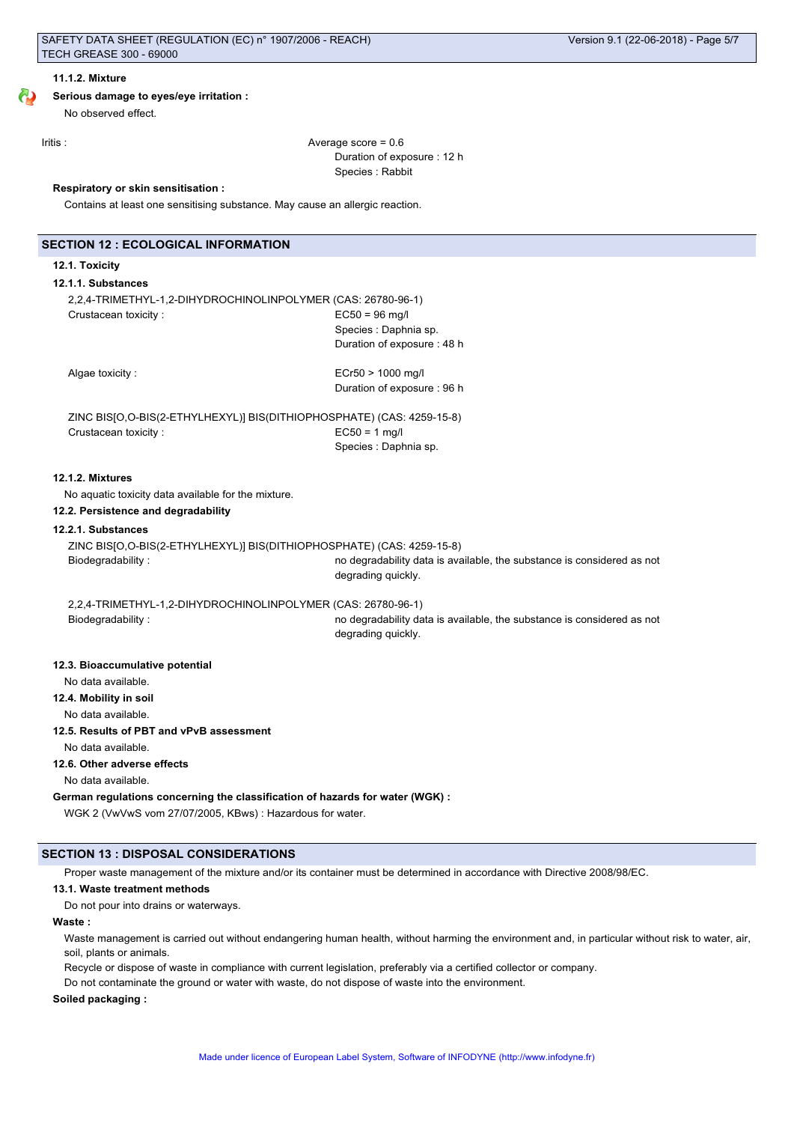## **Serious damage to eyes/eye irritation :**

No observed effect.

Iritis : Average score = 0.6 Duration of exposure : 12 h Species : Rabbit

#### **Respiratory or skin sensitisation :**

Contains at least one sensitising substance. May cause an allergic reaction.

## **12.1. Toxicity**

#### **12.1.1. Substances**

2,2,4-TRIMETHYL-1,2-DIHYDROCHINOLINPOLYMER (CAS: 26780-96-1) Crustacean toxicity : EC50 = 96 mg/l Species : Daphnia sp. Duration of exposure : 48 h

Algae toxicity :  $Ecr50 > 1000$  mg/l Duration of exposure : 96 h

ZINC BIS[O,O-BIS(2-ETHYLHEXYL)] BIS(DITHIOPHOSPHATE) (CAS: 4259-15-8) Crustacean toxicity : EC50 = 1 mg/l Species : Daphnia sp.

#### **12.1.2. Mixtures**

No aquatic toxicity data available for the mixture.

## **12.2. Persistence and degradability**

## **12.2.1. Substances**

ZINC BIS[O,O-BIS(2-ETHYLHEXYL)] BIS(DITHIOPHOSPHATE) (CAS: 4259-15-8)

Biodegradability : no degradability data is available, the substance is considered as not degrading quickly.

2,2,4-TRIMETHYL-1,2-DIHYDROCHINOLINPOLYMER (CAS: 26780-96-1)

Biodegradability : no degradability data is available, the substance is considered as not degrading quickly.

#### **12.3. Bioaccumulative potential**

No data available.

- **12.4. Mobility in soil**
	- No data available.

#### **12.5. Results of PBT and vPvB assessment**

No data available.

## **12.6. Other adverse effects**

No data available.

#### **German regulations concerning the classification of hazards for water (WGK) :**

WGK 2 (VwVwS vom 27/07/2005, KBws) : Hazardous for water.

#### **SECTION 13 : DISPOSAL CONSIDERATIONS**

Proper waste management of the mixture and/or its container must be determined in accordance with Directive 2008/98/EC.

#### **13.1. Waste treatment methods**

Do not pour into drains or waterways.

#### **Waste :**

Waste management is carried out without endangering human health, without harming the environment and, in particular without risk to water, air, soil, plants or animals.

Recycle or dispose of waste in compliance with current legislation, preferably via a certified collector or company.

Do not contaminate the ground or water with waste, do not dispose of waste into the environment.

#### **Soiled packaging :**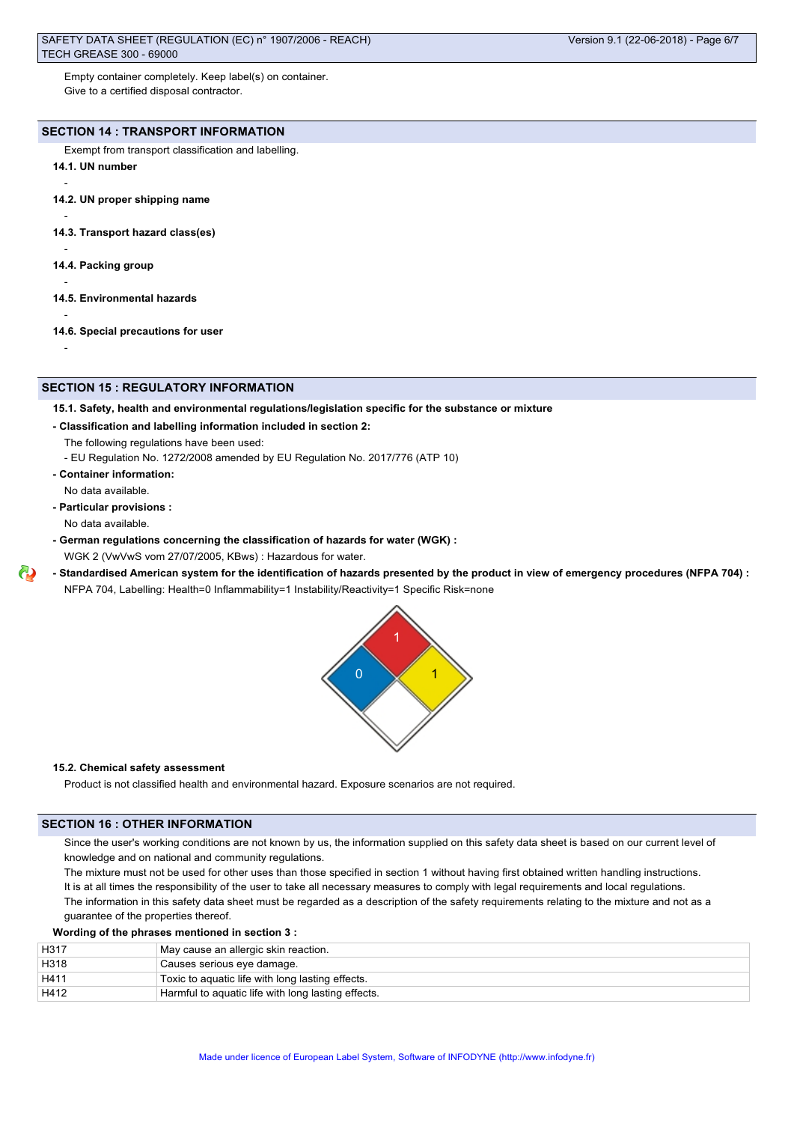Empty container completely. Keep label(s) on container. Give to a certified disposal contractor.

# **SECTION 14 : TRANSPORT INFORMATION**

Exempt from transport classification and labelling.

**14.1. UN number**

-

-

-

-

-

-

- **14.2. UN proper shipping name**
- **14.3. Transport hazard class(es)**

**14.4. Packing group**

- **14.5. Environmental hazards**
- **14.6. Special precautions for user**

## **SECTION 15 : REGULATORY INFORMATION**

#### **15.1. Safety, health and environmental regulations/legislation specific for the substance or mixture**

- **Classification and labelling information included in section 2:**
	- The following regulations have been used:
	- EU Regulation No. 1272/2008 amended by EU Regulation No. 2017/776 (ATP 10)
- **Container information:**

No data available.

**- Particular provisions :**

No data available.

- **German regulations concerning the classification of hazards for water (WGK) :** WGK 2 (VwVwS vom 27/07/2005, KBws) : Hazardous for water.
- **Standardised American system for the identification of hazards presented by the product in view of emergency procedures (NFPA 704) :**
	- NFPA 704, Labelling: Health=0 Inflammability=1 Instability/Reactivity=1 Specific Risk=none



### **15.2. Chemical safety assessment**

Product is not classified health and environmental hazard. Exposure scenarios are not required.

## **SECTION 16 : OTHER INFORMATION**

Since the user's working conditions are not known by us, the information supplied on this safety data sheet is based on our current level of knowledge and on national and community regulations.

The mixture must not be used for other uses than those specified in section 1 without having first obtained written handling instructions. It is at all times the responsibility of the user to take all necessary measures to comply with legal requirements and local regulations. The information in this safety data sheet must be regarded as a description of the safety requirements relating to the mixture and not as a guarantee of the properties thereof.

#### **Wording of the phrases mentioned in section 3 :**

| H317 | May cause an allergic skin reaction.               |
|------|----------------------------------------------------|
| H318 | Causes serious eye damage.                         |
| H411 | Toxic to aquatic life with long lasting effects.   |
| H412 | Harmful to aquatic life with long lasting effects. |